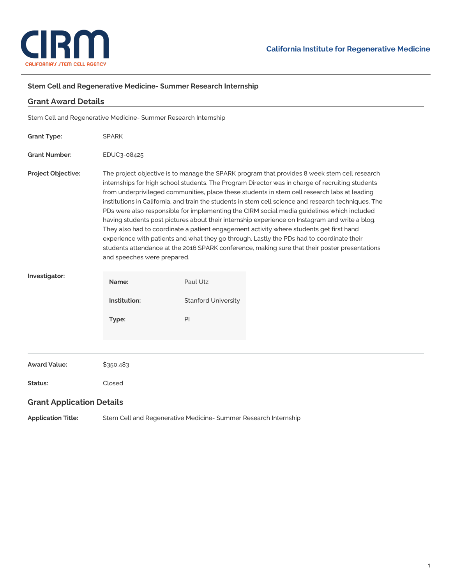

## **Stem Cell and Regenerative Medicine- Summer Research Internship**

| <b>Grant Award Details</b>                                      |                                                                                                                                                                                                                                                                                                                                                                                                                                                                                                                                                                                                                                                                                                                                                                                                                                                                                                                                 |                            |  |
|-----------------------------------------------------------------|---------------------------------------------------------------------------------------------------------------------------------------------------------------------------------------------------------------------------------------------------------------------------------------------------------------------------------------------------------------------------------------------------------------------------------------------------------------------------------------------------------------------------------------------------------------------------------------------------------------------------------------------------------------------------------------------------------------------------------------------------------------------------------------------------------------------------------------------------------------------------------------------------------------------------------|----------------------------|--|
| Stem Cell and Regenerative Medicine- Summer Research Internship |                                                                                                                                                                                                                                                                                                                                                                                                                                                                                                                                                                                                                                                                                                                                                                                                                                                                                                                                 |                            |  |
| <b>Grant Type:</b>                                              | <b>SPARK</b>                                                                                                                                                                                                                                                                                                                                                                                                                                                                                                                                                                                                                                                                                                                                                                                                                                                                                                                    |                            |  |
| <b>Grant Number:</b>                                            | EDUC3-08425                                                                                                                                                                                                                                                                                                                                                                                                                                                                                                                                                                                                                                                                                                                                                                                                                                                                                                                     |                            |  |
| <b>Project Objective:</b>                                       | The project objective is to manage the SPARK program that provides 8 week stem cell research<br>internships for high school students. The Program Director was in charge of recruiting students<br>from underprivileged communities, place these students in stem cell research labs at leading<br>institutions in California, and train the students in stem cell science and research techniques. The<br>PDs were also responsible for implementing the CIRM social media guidelines which included<br>having students post pictures about their internship experience on Instagram and write a blog.<br>They also had to coordinate a patient engagement activity where students get first hand<br>experience with patients and what they go through. Lastly the PDs had to coordinate their<br>students attendance at the 2016 SPARK conference, making sure that their poster presentations<br>and speeches were prepared. |                            |  |
| Investigator:                                                   | Name:                                                                                                                                                                                                                                                                                                                                                                                                                                                                                                                                                                                                                                                                                                                                                                                                                                                                                                                           | Paul Utz                   |  |
|                                                                 | Institution:                                                                                                                                                                                                                                                                                                                                                                                                                                                                                                                                                                                                                                                                                                                                                                                                                                                                                                                    | <b>Stanford University</b> |  |
|                                                                 | Type:                                                                                                                                                                                                                                                                                                                                                                                                                                                                                                                                                                                                                                                                                                                                                                                                                                                                                                                           | PI                         |  |
|                                                                 |                                                                                                                                                                                                                                                                                                                                                                                                                                                                                                                                                                                                                                                                                                                                                                                                                                                                                                                                 |                            |  |
| <b>Award Value:</b>                                             | \$350,483                                                                                                                                                                                                                                                                                                                                                                                                                                                                                                                                                                                                                                                                                                                                                                                                                                                                                                                       |                            |  |
| Status:                                                         | Closed                                                                                                                                                                                                                                                                                                                                                                                                                                                                                                                                                                                                                                                                                                                                                                                                                                                                                                                          |                            |  |
| <b>Grant Application Details</b>                                |                                                                                                                                                                                                                                                                                                                                                                                                                                                                                                                                                                                                                                                                                                                                                                                                                                                                                                                                 |                            |  |
| <b>Application Title:</b>                                       | Stem Cell and Regenerative Medicine-Summer Research Internship                                                                                                                                                                                                                                                                                                                                                                                                                                                                                                                                                                                                                                                                                                                                                                                                                                                                  |                            |  |